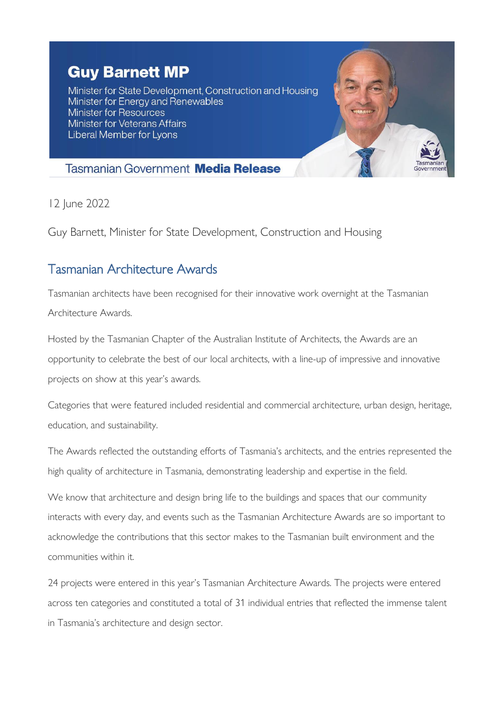## **Guy Barnett MP**

Minister for State Development, Construction and Housing Minister for Energy and Renewables Minister for Resources **Minister for Veterans Affairs** Liberal Member for Lyons



## **Tasmanian Government Media Release**

12 June 2022

Guy Barnett, Minister for State Development, Construction and Housing

## Tasmanian Architecture Awards

Tasmanian architects have been recognised for their innovative work overnight at the Tasmanian Architecture Awards.

Hosted by the Tasmanian Chapter of the Australian Institute of Architects, the Awards are an opportunity to celebrate the best of our local architects, with a line-up of impressive and innovative projects on show at this year's awards.

Categories that were featured included residential and commercial architecture, urban design, heritage, education, and sustainability.

The Awards reflected the outstanding efforts of Tasmania's architects, and the entries represented the high quality of architecture in Tasmania, demonstrating leadership and expertise in the field.

We know that architecture and design bring life to the buildings and spaces that our community interacts with every day, and events such as the Tasmanian Architecture Awards are so important to acknowledge the contributions that this sector makes to the Tasmanian built environment and the communities within it.

24 projects were entered in this year's Tasmanian Architecture Awards. The projects were entered across ten categories and constituted a total of 31 individual entries that reflected the immense talent in Tasmania's architecture and design sector.